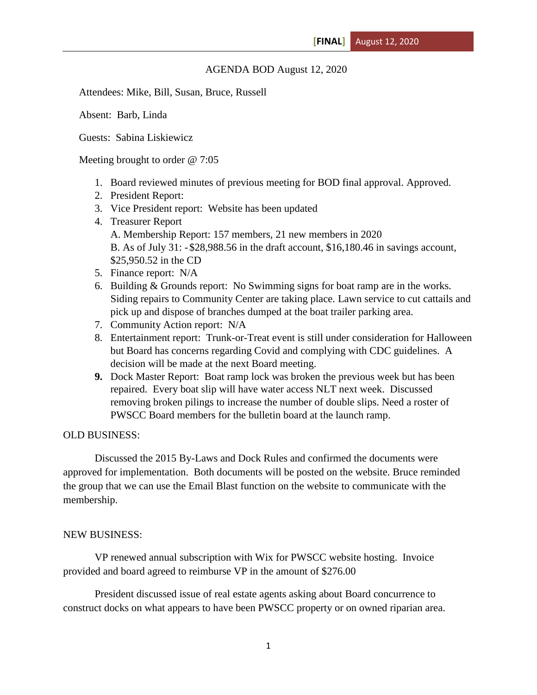## AGENDA BOD August 12, 2020

Attendees: Mike, Bill, Susan, Bruce, Russell

Absent: Barb, Linda

Guests: Sabina Liskiewicz

Meeting brought to order @ 7:05

- 1. Board reviewed minutes of previous meeting for BOD final approval. Approved.
- 2. President Report:
- 3. Vice President report: Website has been updated
- 4. Treasurer Report A. Membership Report: 157 members, 21 new members in 2020 B. As of July 31: -\$28,988.56 in the draft account, \$16,180.46 in savings account, \$25,950.52 in the CD
- 5. Finance report: N/A
- 6. Building & Grounds report: No Swimming signs for boat ramp are in the works. Siding repairs to Community Center are taking place. Lawn service to cut cattails and pick up and dispose of branches dumped at the boat trailer parking area.
- 7. Community Action report: N/A
- 8. Entertainment report: Trunk-or-Treat event is still under consideration for Halloween but Board has concerns regarding Covid and complying with CDC guidelines. A decision will be made at the next Board meeting.
- **9.** Dock Master Report: Boat ramp lock was broken the previous week but has been repaired. Every boat slip will have water access NLT next week. Discussed removing broken pilings to increase the number of double slips. Need a roster of PWSCC Board members for the bulletin board at the launch ramp.

## OLD BUSINESS:

Discussed the 2015 By-Laws and Dock Rules and confirmed the documents were approved for implementation. Both documents will be posted on the website. Bruce reminded the group that we can use the Email Blast function on the website to communicate with the membership.

## NEW BUSINESS:

VP renewed annual subscription with Wix for PWSCC website hosting. Invoice provided and board agreed to reimburse VP in the amount of \$276.00

President discussed issue of real estate agents asking about Board concurrence to construct docks on what appears to have been PWSCC property or on owned riparian area.